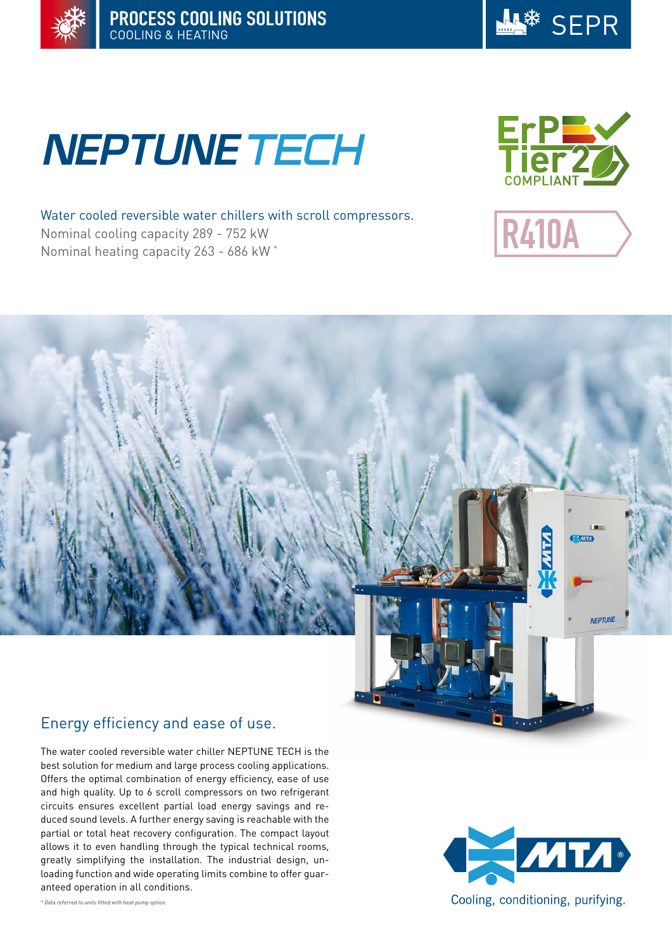



# **NEPTUNE TECH**

R410A

Water cooled reversible water chillers with scroll compressors. Nominal cooling capacity 289 - 752 kW Nominal heating capacity 263 - 686 kW \*



# Energy efficiency and ease of use.

The water cooled reversible water chiller NEPTUNE TECH is the best solution for medium and large process cooling applications. Offers the optimal combination of energy efficiency, ease of use and high quality. Up to 6 scroll compressors on two refrigerant circuits ensures excellent partial load energy savings and reduced sound levels. A further energy saving is reachable with the partial or total heat recovery configuration. The compact layout allows it to even handling through the typical technical rooms, greatly simplifying the installation. The industrial design, unloading function and wide operating limits combine to offer guaranteed operation in all conditions.



*\* Data referred to units fitted with heat pump option.*